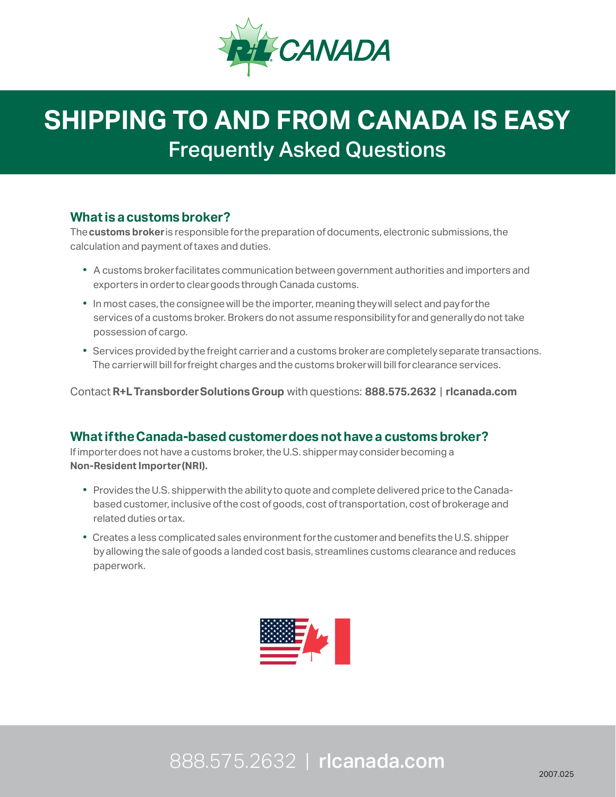

# **SHIPPING TO AND FROM CANADA IS EASY** Frequently Asked Questions

### **What is a customs broker?**

The **customs broker** is responsible for the preparation of documents, electronic submissions, the calculation and payment of taxes and duties.

- A customs broker facilitates communication between government authorities and importers and exporters in order to clear goods through Canada customs.
- In most cases, the consignee will be the importer, meaning they will select and pay for the services of a customs broker. Brokers do not assume responsibility for and generally do not take possession of cargo.
- Services provided by the freight carrier and a customs broker are completely separate transactions. The carrier will bill for freight charges and the customs broker will bill for clearance services.

Contact **R+L Transborder Solutions Group** with questions: **888.575.2632** | **rlcanada.com**

### **What if the Canada-based customer does not have a customs broker?**

If importer does not have a customs broker, the U.S. shipper may consider becoming a **Non-Resident Importer (NRI).**

- Provides the U.S. shipper with the ability to quote and complete delivered price to the Canada based customer, inclusive of the cost of goods, cost of transportation, cost of brokerage and related duties or tax.
- Creates a less complicated sales environment for the customer and benefits the U.S. shipper by allowing the sale of goods a landed cost basis, streamlines customs clearance and reduces paperwork.



## 888.575.2632 | rlcanada.com